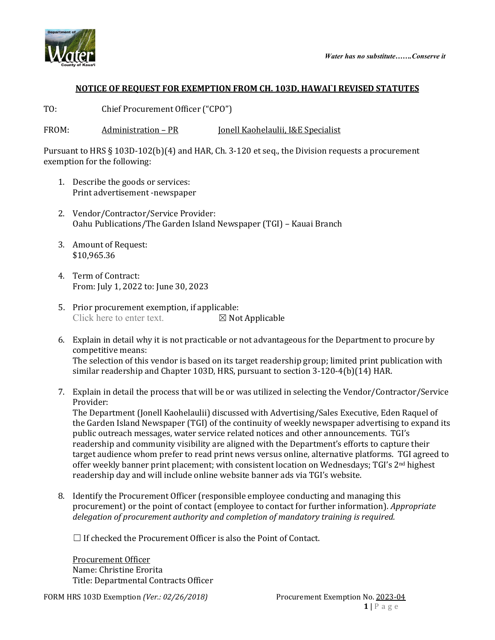



## **NOTICE OF REQUEST FOR EXEMPTION FROM CH. 103D, HAWAI`I REVISED STATUTES**

TO: Chief Procurement Officer ("CPO")

FROM: Administration – PR Jonell Kaohelaulii, I&E Specialist

Pursuant to HRS § 103D-102(b)(4) and HAR, Ch. 3-120 et seq., the Division requests a procurement exemption for the following:

- 1. Describe the goods or services: Print advertisement -newspaper
- 2. Vendor/Contractor/Service Provider: Oahu Publications/The Garden Island Newspaper (TGI) – Kauai Branch
- 3. Amount of Request: \$10,965.36
- 4. Term of Contract: From: July 1, 2022 to: June 30, 2023
- 5. Prior procurement exemption, if applicable:<br>Click here to enter text.  $\boxtimes$  Not Applicable Click here to enter text.
- 6. Explain in detail why it is not practicable or not advantageous for the Department to procure by competitive means: The selection of this vendor is based on its target readership group; limited print publication with similar readership and Chapter 103D, HRS, pursuant to section 3-120-4(b)(14) HAR.
- 7. Explain in detail the process that will be or was utilized in selecting the Vendor/Contractor/Service Provider:

The Department (Jonell Kaohelaulii) discussed with Advertising/Sales Executive, Eden Raquel of the Garden Island Newspaper (TGI) of the continuity of weekly newspaper advertising to expand its public outreach messages, water service related notices and other announcements. TGI's readership and community visibility are aligned with the Department's efforts to capture their target audience whom prefer to read print news versus online, alternative platforms. TGI agreed to offer weekly banner print placement; with consistent location on Wednesdays; TGI's 2nd highest readership day and will include online website banner ads via TGI's website.

8. Identify the Procurement Officer (responsible employee conducting and managing this procurement) or the point of contact (employee to contact for further information). *Appropriate delegation of procurement authority and completion of mandatory training is required.*

 $\Box$  If checked the Procurement Officer is also the Point of Contact.

Procurement Officer Name: Christine Erorita Title: Departmental Contracts Officer

FORM HRS 103D Exemption *(Ver.: 02/26/2018)* Procurement Exemption No. 2023-04